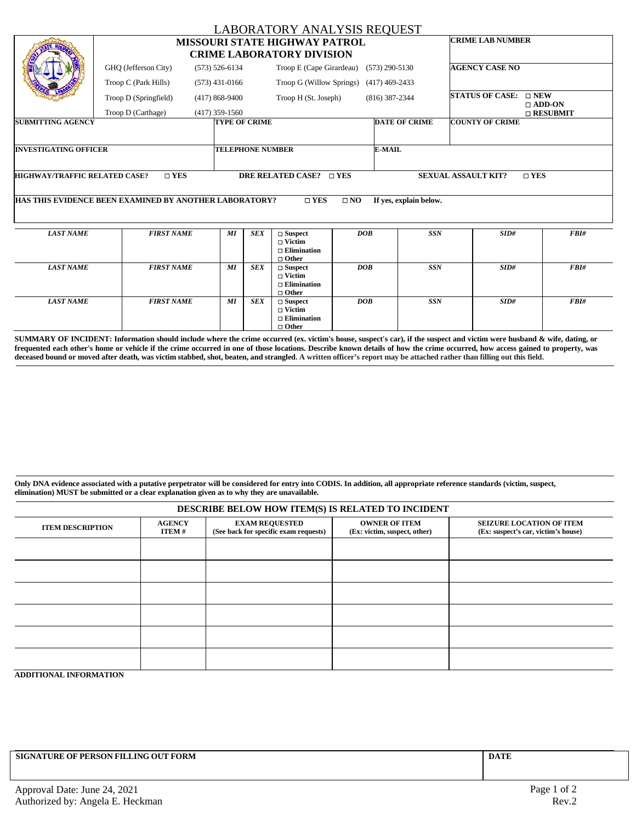|                                                                                                                                 |                                                        |                                                                          |                          | <b>LABORATORY ANALYSIS REQUEST</b>                                       |                  |                        |                       |                        |                               |  |
|---------------------------------------------------------------------------------------------------------------------------------|--------------------------------------------------------|--------------------------------------------------------------------------|--------------------------|--------------------------------------------------------------------------|------------------|------------------------|-----------------------|------------------------|-------------------------------|--|
|                                                                                                                                 |                                                        | <b>MISSOURI STATE HIGHWAY PATROL</b><br><b>CRIME LABORATORY DIVISION</b> | <b>CRIME LAB NUMBER</b>  |                                                                          |                  |                        |                       |                        |                               |  |
|                                                                                                                                 | GHQ (Jefferson City)<br>$(573) 526 - 6134$             |                                                                          | Troop E (Cape Girardeau) |                                                                          | $(573)$ 290-5130 |                        | <b>AGENCY CASE NO</b> |                        |                               |  |
|                                                                                                                                 | Troop C (Park Hills)                                   | $(573)$ 431-0166                                                         |                          | Troop G (Willow Springs)                                                 |                  | $(417)$ 469-2433       |                       |                        |                               |  |
|                                                                                                                                 | Troop D (Springfield)                                  | $(417)868-9400$                                                          |                          | Troop H (St. Joseph)                                                     |                  | $(816)$ 387-2344       |                       | <b>STATUS OF CASE:</b> | $\sqcap$ NEW<br>$\Box$ ADD-ON |  |
|                                                                                                                                 | Troop D (Carthage)<br>$(417)$ 359-1560                 |                                                                          |                          |                                                                          |                  |                        |                       | $\Box$ RESUBMIT        |                               |  |
| <b>SUBMITTING AGENCY</b>                                                                                                        |                                                        | <b>TYPE OF CRIME</b>                                                     |                          |                                                                          |                  | <b>DATE OF CRIME</b>   |                       | <b>COUNTY OF CRIME</b> |                               |  |
|                                                                                                                                 |                                                        |                                                                          |                          |                                                                          |                  |                        |                       |                        |                               |  |
| <b>INVESTIGATING OFFICER</b>                                                                                                    |                                                        |                                                                          | <b>TELEPHONE NUMBER</b>  |                                                                          |                  | E-MAIL                 |                       |                        |                               |  |
|                                                                                                                                 |                                                        |                                                                          |                          |                                                                          |                  |                        |                       |                        |                               |  |
| $\square$ YES<br>DRE RELATED CASE? □ YES<br><b>SEXUAL ASSAULT KIT?</b><br><b>HIGHWAY/TRAFFIC RELATED CASE?</b><br>$\square$ YES |                                                        |                                                                          |                          |                                                                          |                  |                        |                       |                        |                               |  |
|                                                                                                                                 | HAS THIS EVIDENCE BEEN EXAMINED BY ANOTHER LABORATORY? |                                                                          |                          | $\square$ YES                                                            | $\square$ NO     | If yes, explain below. |                       |                        |                               |  |
|                                                                                                                                 |                                                        |                                                                          |                          |                                                                          |                  |                        |                       |                        |                               |  |
| <b>LAST NAME</b>                                                                                                                | <b>FIRST NAME</b>                                      | MI                                                                       | <b>SEX</b>               | $\square$ Suspect<br>$\Box$ Victim<br>$\Box$ Elimination<br>$\Box$ Other |                  | DOB                    | <b>SSN</b>            | SID#                   | FBI#                          |  |
| <b>LAST NAME</b>                                                                                                                | <b>FIRST NAME</b>                                      | MI                                                                       | <b>SEX</b>               | $\square$ Suspect<br>$\Box$ Victim<br>$\Box$ Elimination<br>$\Box$ Other |                  | DOB                    | SSN                   | SID#                   | FBI#                          |  |
| <b>LAST NAME</b>                                                                                                                | <b>FIRST NAME</b>                                      | MI                                                                       | <b>SEX</b>               | $\Box$ Suspect<br>$\Box$ Victim<br>$\square$ Elimination<br>$\Box$ Other |                  | DOB                    | <b>SSN</b>            | SID#                   | FBI#                          |  |

SUMMARY OF INCIDENT: Information should include where the crime occurred (ex. victim's house, suspect's car), if the suspect and victim were husband & wife, dating, or frequented each other's home or vehicle if the crime occurred in one of those locations. Describe known details of how the crime occurred, how access gained to property, was deceased bound or moved after death, was victim stabbed, shot, beaten, and strangled. A written officer's report may be attached rather than filling out this field.

Only DNA evidence associated with a putative perpetrator will be considered for entry into CODIS. In addition, all appropriate reference standards (victim, suspect, **elimination) MUST be submitted or a clear explanation given as to why they are unavailable.**

| DESCRIBE BELOW HOW ITEM(S) IS RELATED TO INCIDENT |                        |                                                                |                                                      |                                                                        |  |  |  |  |  |
|---------------------------------------------------|------------------------|----------------------------------------------------------------|------------------------------------------------------|------------------------------------------------------------------------|--|--|--|--|--|
| <b>ITEM DESCRIPTION</b>                           | <b>AGENCY</b><br>ITEM# | <b>EXAM REQUESTED</b><br>(See back for specific exam requests) | <b>OWNER OF ITEM</b><br>(Ex: victim, suspect, other) | <b>SEIZURE LOCATION OF ITEM</b><br>(Ex: suspect's car, victim's house) |  |  |  |  |  |
|                                                   |                        |                                                                |                                                      |                                                                        |  |  |  |  |  |
|                                                   |                        |                                                                |                                                      |                                                                        |  |  |  |  |  |
|                                                   |                        |                                                                |                                                      |                                                                        |  |  |  |  |  |
|                                                   |                        |                                                                |                                                      |                                                                        |  |  |  |  |  |
|                                                   |                        |                                                                |                                                      |                                                                        |  |  |  |  |  |
|                                                   |                        |                                                                |                                                      |                                                                        |  |  |  |  |  |

**ADDITIONAL INFORMATION**

**SIGNATURE OF PERSON FILLING OUT FORM DATE**